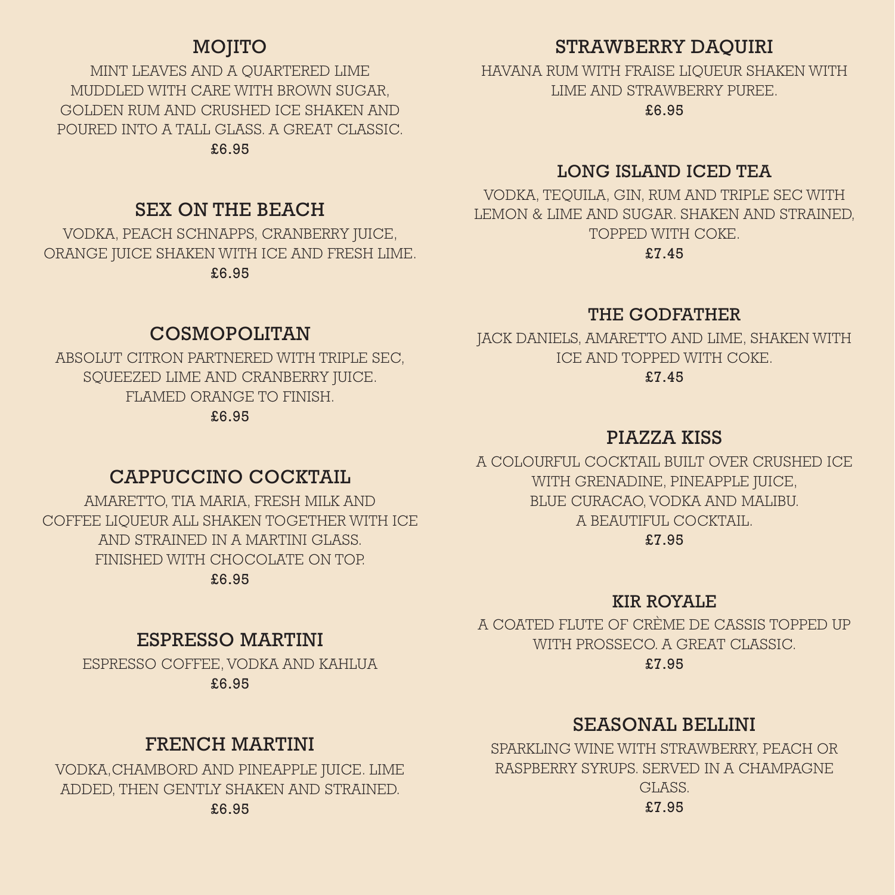# MOJITO

MINT LEAVES AND A QUARTERED LIME MUDDLED WITH CARE WITH BROWN SUGAR, GOLDEN RUM AND CRUSHED ICE SHAKEN AND POURED INTO A TALL GLASS. A GREAT CLASSIC. £6.95

# SEX ON THE BEACH

VODKA, PEACH SCHNAPPS, CRANBERRY JUICE, ORANGE JUICE SHAKEN WITH ICE AND FRESH LIME. £6.95

## COSMOPOLITAN

ABSOLUT CITRON PARTNERED WITH TRIPLE SEC, SQUEEZED LIME AND CRANBERRY JUICE. FLAMED ORANGE TO FINISH. £6.95

# STRAWBERRY DAQUIRI

HAVANA RUM WITH FRAISE LIQUEUR SHAKEN WITH LIME AND STRAWBERRY PUREE.

£6.95

## LONG ISLAND ICED TEA

VODKA, TEQUILA, GIN, RUM AND TRIPLE SEC WITH LEMON & LIME AND SUGAR. SHAKEN AND STRAINED, TOPPED WITH COKE.

£7.45

### THE GODFATHER

JACK DANIELS, AMARETTO AND LIME, SHAKEN WITH ICE AND TOPPED WITH COKE. £7.45

## PIAZZA KISS

A COLOURFUL COCKTAIL BUILT OVER CRUSHED ICE WITH GRENADINE, PINEAPPLE JUICE, BLUE CURACAO, VODKA AND MALIBU. A BEAUTIFUL COCKTAIL.

#### £7.95

## KIR ROYALE

A COATED FLUTE OF CRÈME DE CASSIS TOPPED UP WITH PROSSECO. A GREAT CLASSIC.

£7.95

# SEASONAL BELLINI

SPARKLING WINE WITH STRAWBERRY, PEACH OR RASPBERRY SYRUPS. SERVED IN A CHAMPAGNE GLASS. £7.95

## CAPPUCCINO COCKTAIL

AMARETTO, TIA MARIA, FRESH MILK AND COFFEE LIQUEUR ALL SHAKEN TOGETHER WITH ICE AND STRAINED IN A MARTINI GLASS. FINISHED WITH CHOCOLATE ON TOP. £6.95

# ESPRESSO MARTINI

ESPRESSO COFFEE, VODKA AND KAHLUA £6.95

## FRENCH MARTINI

VODKA,CHAMBORD AND PINEAPPLE JUICE. LIME ADDED, THEN GENTLY SHAKEN AND STRAINED. £6.95